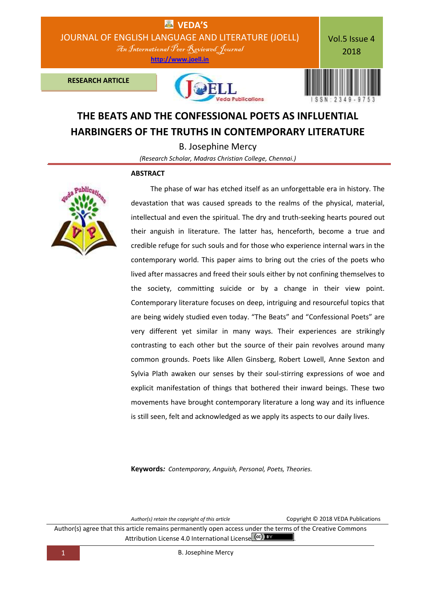

# **THE BEATS AND THE CONFESSIONAL POETS AS INFLUENTIAL HARBINGERS OF THE TRUTHS IN CONTEMPORARY LITERATURE**

B. Josephine Mercy

*(Research Scholar, Madras Christian College, Chennai.)*

## **ABSTRACT**



 The phase of war has etched itself as an unforgettable era in history. The devastation that was caused spreads to the realms of the physical, material, intellectual and even the spiritual. The dry and truth-seeking hearts poured out their anguish in literature. The latter has, henceforth, become a true and credible refuge for such souls and for those who experience internal wars in the contemporary world. This paper aims to bring out the cries of the poets who lived after massacres and freed their souls either by not confining themselves to the society, committing suicide or by a change in their view point. Contemporary literature focuses on deep, intriguing and resourceful topics that are being widely studied even today. "The Beats" and "Confessional Poets" are very different yet similar in many ways. Their experiences are strikingly contrasting to each other but the source of their pain revolves around many common grounds. Poets like Allen Ginsberg, Robert Lowell, Anne Sexton and Sylvia Plath awaken our senses by their soul-stirring expressions of woe and explicit manifestation of things that bothered their inward beings. These two movements have brought contemporary literature a long way and its influence is still seen, felt and acknowledged as we apply its aspects to our daily lives.

**Keywords***: Contemporary, Anguish, Personal, Poets, Theories.*

*Author(s) retain the copyright of this article* Copyright © 2018 VEDA Publications

Author(s) agree that this article remains permanently open access under the terms of the Creative Commons Attribution License 4.0 International License Ccc) BY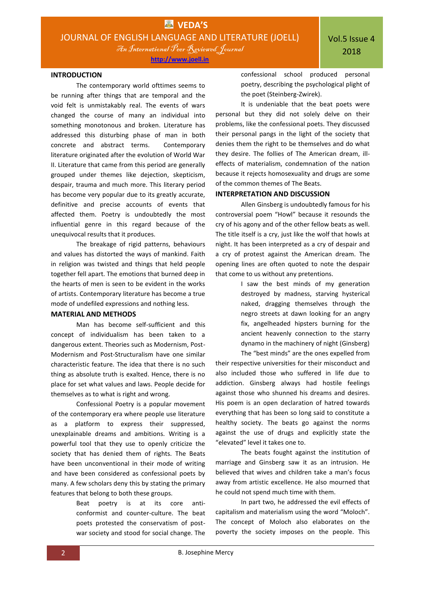An International Peer Reviewed Journal

## **INTRODUCTION**

The contemporary world ofttimes seems to be running after things that are temporal and the void felt is unmistakably real. The events of wars changed the course of many an individual into something monotonous and broken. Literature has addressed this disturbing phase of man in both concrete and abstract terms. Contemporary literature originated after the evolution of World War II. Literature that came from this period are generally grouped under themes like dejection, skepticism, despair, trauma and much more. This literary period has become very popular due to its greatly accurate, definitive and precise accounts of events that affected them. Poetry is undoubtedly the most influential genre in this regard because of the unequivocal results that it produces.

The breakage of rigid patterns, behaviours and values has distorted the ways of mankind. Faith in religion was twisted and things that held people together fell apart. The emotions that burned deep in the hearts of men is seen to be evident in the works of artists. Contemporary literature has become a true mode of undefiled expressions and nothing less.

## **MATERIAL AND METHODS**

Man has become self-sufficient and this concept of individualism has been taken to a dangerous extent. Theories such as Modernism, Post-Modernism and Post-Structuralism have one similar characteristic feature. The idea that there is no such thing as absolute truth is exalted. Hence, there is no place for set what values and laws. People decide for themselves as to what is right and wrong.

Confessional Poetry is a popular movement of the contemporary era where people use literature as a platform to express their suppressed, unexplainable dreams and ambitions. Writing is a powerful tool that they use to openly criticize the society that has denied them of rights. The Beats have been unconventional in their mode of writing and have been considered as confessional poets by many. A few scholars deny this by stating the primary features that belong to both these groups.

> Beat poetry is at its core anticonformist and counter-culture. The beat poets protested the conservatism of postwar society and stood for social change. The

confessional school produced personal poetry, describing the psychological plight of the poet (Steinberg-Zwirek).

It is undeniable that the beat poets were personal but they did not solely delve on their problems, like the confessional poets. They discussed their personal pangs in the light of the society that denies them the right to be themselves and do what they desire. The follies of The American dream, illeffects of materialism, condemnation of the nation because it rejects homosexuality and drugs are some of the common themes of The Beats.

#### **INTERPRETATION AND DISCUSSION**

Allen Ginsberg is undoubtedly famous for his controversial poem "Howl" because it resounds the cry of his agony and of the other fellow beats as well. The title itself is a cry, just like the wolf that howls at night. It has been interpreted as a cry of despair and a cry of protest against the American dream. The opening lines are often quoted to note the despair that come to us without any pretentions.

> I saw the best minds of my generation destroyed by madness, starving hysterical naked, dragging themselves through the negro streets at dawn looking for an angry fix, angelheaded hipsters burning for the ancient heavenly connection to the starry dynamo in the machinery of night (Ginsberg)

The "best minds" are the ones expelled from their respective universities for their misconduct and also included those who suffered in life due to addiction. Ginsberg always had hostile feelings against those who shunned his dreams and desires. His poem is an open declaration of hatred towards everything that has been so long said to constitute a healthy society. The beats go against the norms against the use of drugs and explicitly state the "elevated" level it takes one to.

The beats fought against the institution of marriage and Ginsberg saw it as an intrusion. He believed that wives and children take a man's focus away from artistic excellence. He also mourned that he could not spend much time with them.

In part two, he addressed the evil effects of capitalism and materialism using the word "Moloch". The concept of Moloch also elaborates on the poverty the society imposes on the people. This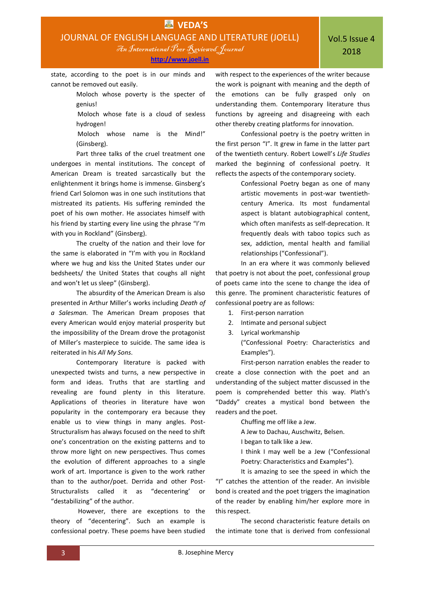**[http://www.joell.in](http://www.joell.in/)**

state, according to the poet is in our minds and cannot be removed out easily.

> Moloch whose poverty is the specter of genius!

 Moloch whose fate is a cloud of sexless hydrogen!

 Moloch whose name is the Mind!" (Ginsberg).

Part three talks of the cruel treatment one undergoes in mental institutions. The concept of American Dream is treated sarcastically but the enlightenment it brings home is immense. Ginsberg's friend Carl Solomon was in one such institutions that mistreated its patients. His suffering reminded the poet of his own mother. He associates himself with his friend by starting every line using the phrase "I'm with you in Rockland" (Ginsberg).

The cruelty of the nation and their love for the same is elaborated in "I'm with you in Rockland where we hug and kiss the United States under our bedsheets/ the United States that coughs all night and won't let us sleep" (Ginsberg).

The absurdity of the American Dream is also presented in Arthur Miller's works including *Death of a Salesman.* The American Dream proposes that every American would enjoy material prosperity but the impossibility of the Dream drove the protagonist of Miller's masterpiece to suicide. The same idea is reiterated in his *All My Sons*.

Contemporary literature is packed with unexpected twists and turns, a new perspective in form and ideas. Truths that are startling and revealing are found plenty in this literature. Applications of theories in literature have won popularity in the contemporary era because they enable us to view things in many angles. Post-Structuralism has always focused on the need to shift one's concentration on the existing patterns and to throw more light on new perspectives. Thus comes the evolution of different approaches to a single work of art. Importance is given to the work rather than to the author/poet. Derrida and other Post-Structuralists called it as "decentering' or "destabilizing" of the author.

However, there are exceptions to the theory of "decentering". Such an example is confessional poetry. These poems have been studied with respect to the experiences of the writer because the work is poignant with meaning and the depth of the emotions can be fully grasped only on understanding them. Contemporary literature thus functions by agreeing and disagreeing with each other thereby creating platforms for innovation.

Confessional poetry is the poetry written in the first person "I". It grew in fame in the latter part of the twentieth century. Robert Lowell's *Life Studies* marked the beginning of confessional poetry. It reflects the aspects of the contemporary society.

> Confessional Poetry began as one of many artistic movements in post-war twentiethcentury America. Its most fundamental aspect is blatant autobiographical content, which often manifests as self-deprecation. It frequently deals with taboo topics such as sex, addiction, mental health and familial relationships ("Confessional").

In an era where it was commonly believed that poetry is not about the poet, confessional group of poets came into the scene to change the idea of this genre. The prominent characteristic features of confessional poetry are as follows:

- 1. First-person narration
- 2. Intimate and personal subject
- 3. Lyrical workmanship ("Confessional Poetry: Characteristics and Examples").

First-person narration enables the reader to create a close connection with the poet and an understanding of the subject matter discussed in the poem is comprehended better this way. Plath's "Daddy" creates a mystical bond between the readers and the poet.

Chuffing me off like a Jew.

A Jew to Dachau, Auschwitz, Belsen.

I began to talk like a Jew.

I think I may well be a Jew ("Confessional Poetry: Characteristics and Examples").

It is amazing to see the speed in which the "I" catches the attention of the reader. An invisible bond is created and the poet triggers the imagination of the reader by enabling him/her explore more in this respect.

The second characteristic feature details on the intimate tone that is derived from confessional